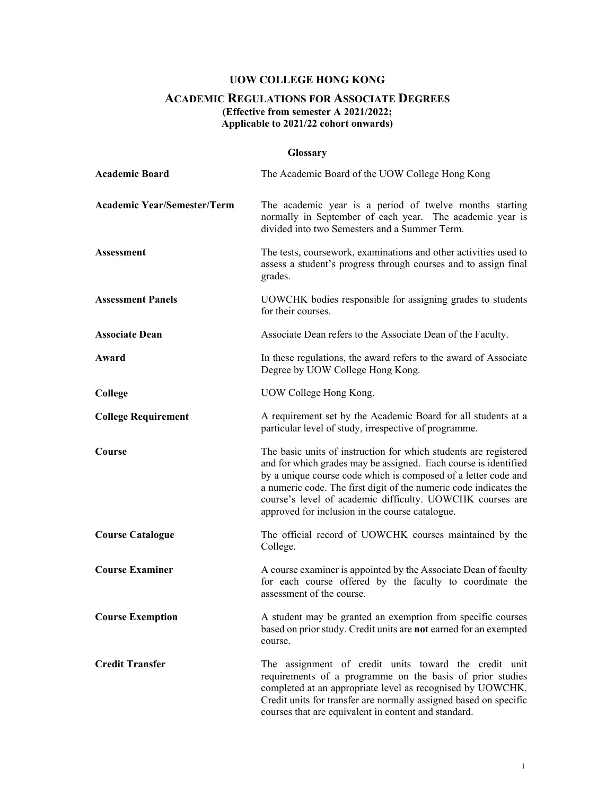## **UOW COLLEGE HONG KONG**

### **ACADEMIC REGULATIONS FOR ASSOCIATE DEGREES (Effective from semester A 2021/2022; Applicable to 2021/22 cohort onwards)**

## **Glossary**

| <b>Academic Board</b>              | The Academic Board of the UOW College Hong Kong                                                                                                                                                                                                                                                                                                                                            |
|------------------------------------|--------------------------------------------------------------------------------------------------------------------------------------------------------------------------------------------------------------------------------------------------------------------------------------------------------------------------------------------------------------------------------------------|
| <b>Academic Year/Semester/Term</b> | The academic year is a period of twelve months starting<br>normally in September of each year. The academic year is<br>divided into two Semesters and a Summer Term.                                                                                                                                                                                                                       |
| <b>Assessment</b>                  | The tests, coursework, examinations and other activities used to<br>assess a student's progress through courses and to assign final<br>grades.                                                                                                                                                                                                                                             |
| <b>Assessment Panels</b>           | UOWCHK bodies responsible for assigning grades to students<br>for their courses.                                                                                                                                                                                                                                                                                                           |
| <b>Associate Dean</b>              | Associate Dean refers to the Associate Dean of the Faculty.                                                                                                                                                                                                                                                                                                                                |
| Award                              | In these regulations, the award refers to the award of Associate<br>Degree by UOW College Hong Kong.                                                                                                                                                                                                                                                                                       |
| College                            | UOW College Hong Kong.                                                                                                                                                                                                                                                                                                                                                                     |
| <b>College Requirement</b>         | A requirement set by the Academic Board for all students at a<br>particular level of study, irrespective of programme.                                                                                                                                                                                                                                                                     |
| <b>Course</b>                      | The basic units of instruction for which students are registered<br>and for which grades may be assigned. Each course is identified<br>by a unique course code which is composed of a letter code and<br>a numeric code. The first digit of the numeric code indicates the<br>course's level of academic difficulty. UOWCHK courses are<br>approved for inclusion in the course catalogue. |
| <b>Course Catalogue</b>            | The official record of UOWCHK courses maintained by the<br>College.                                                                                                                                                                                                                                                                                                                        |
| <b>Course Examiner</b>             | A course examiner is appointed by the Associate Dean of faculty<br>for each course offered by the faculty to coordinate the<br>assessment of the course.                                                                                                                                                                                                                                   |
| <b>Course Exemption</b>            | A student may be granted an exemption from specific courses<br>based on prior study. Credit units are not earned for an exempted<br>course.                                                                                                                                                                                                                                                |
| <b>Credit Transfer</b>             | The assignment of credit units toward the credit unit<br>requirements of a programme on the basis of prior studies<br>completed at an appropriate level as recognised by UOWCHK.<br>Credit units for transfer are normally assigned based on specific<br>courses that are equivalent in content and standard.                                                                              |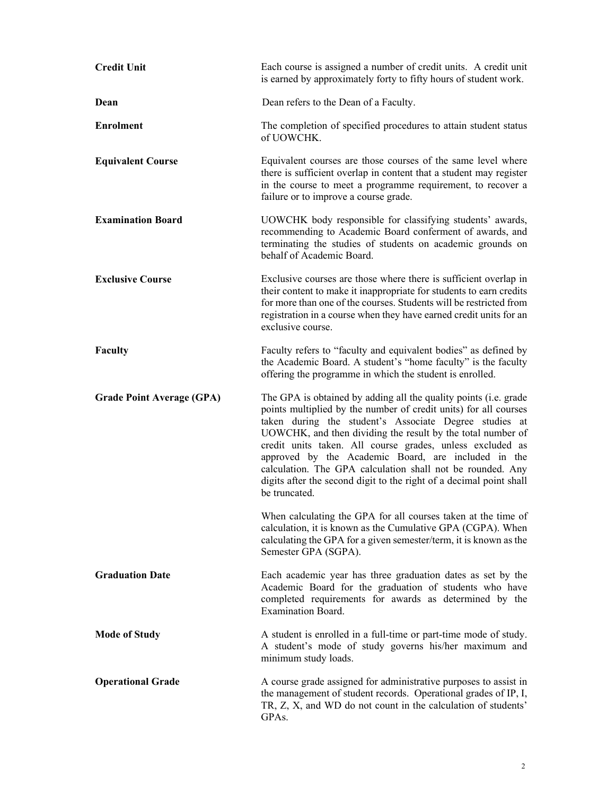| <b>Credit Unit</b>               | Each course is assigned a number of credit units. A credit unit<br>is earned by approximately forty to fifty hours of student work.                                                                                                                                                                                                                                                                                                                                                                                                     |
|----------------------------------|-----------------------------------------------------------------------------------------------------------------------------------------------------------------------------------------------------------------------------------------------------------------------------------------------------------------------------------------------------------------------------------------------------------------------------------------------------------------------------------------------------------------------------------------|
| Dean                             | Dean refers to the Dean of a Faculty.                                                                                                                                                                                                                                                                                                                                                                                                                                                                                                   |
| <b>Enrolment</b>                 | The completion of specified procedures to attain student status<br>of UOWCHK.                                                                                                                                                                                                                                                                                                                                                                                                                                                           |
| <b>Equivalent Course</b>         | Equivalent courses are those courses of the same level where<br>there is sufficient overlap in content that a student may register<br>in the course to meet a programme requirement, to recover a<br>failure or to improve a course grade.                                                                                                                                                                                                                                                                                              |
| <b>Examination Board</b>         | UOWCHK body responsible for classifying students' awards,<br>recommending to Academic Board conferment of awards, and<br>terminating the studies of students on academic grounds on<br>behalf of Academic Board.                                                                                                                                                                                                                                                                                                                        |
| <b>Exclusive Course</b>          | Exclusive courses are those where there is sufficient overlap in<br>their content to make it inappropriate for students to earn credits<br>for more than one of the courses. Students will be restricted from<br>registration in a course when they have earned credit units for an<br>exclusive course.                                                                                                                                                                                                                                |
| Faculty                          | Faculty refers to "faculty and equivalent bodies" as defined by<br>the Academic Board. A student's "home faculty" is the faculty<br>offering the programme in which the student is enrolled.                                                                                                                                                                                                                                                                                                                                            |
| <b>Grade Point Average (GPA)</b> | The GPA is obtained by adding all the quality points (i.e. grade<br>points multiplied by the number of credit units) for all courses<br>taken during the student's Associate Degree studies at<br>UOWCHK, and then dividing the result by the total number of<br>credit units taken. All course grades, unless excluded as<br>approved by the Academic Board, are included in the<br>calculation. The GPA calculation shall not be rounded. Any<br>digits after the second digit to the right of a decimal point shall<br>be truncated. |
|                                  | When calculating the GPA for all courses taken at the time of<br>calculation, it is known as the Cumulative GPA (CGPA). When<br>calculating the GPA for a given semester/term, it is known as the<br>Semester GPA (SGPA).                                                                                                                                                                                                                                                                                                               |
| <b>Graduation Date</b>           | Each academic year has three graduation dates as set by the<br>Academic Board for the graduation of students who have<br>completed requirements for awards as determined by the<br><b>Examination Board.</b>                                                                                                                                                                                                                                                                                                                            |
| <b>Mode of Study</b>             | A student is enrolled in a full-time or part-time mode of study.<br>A student's mode of study governs his/her maximum and<br>minimum study loads.                                                                                                                                                                                                                                                                                                                                                                                       |
| <b>Operational Grade</b>         | A course grade assigned for administrative purposes to assist in<br>the management of student records. Operational grades of IP, I,<br>TR, Z, X, and WD do not count in the calculation of students'<br>GPAs.                                                                                                                                                                                                                                                                                                                           |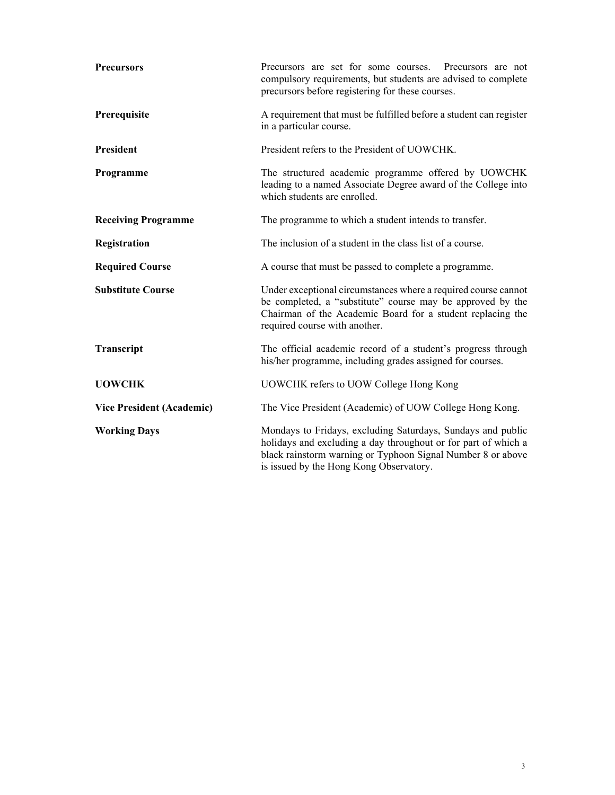| <b>Precursors</b>                | Precursors are set for some courses. Precursors are not<br>compulsory requirements, but students are advised to complete<br>precursors before registering for these courses.                                                            |  |  |  |
|----------------------------------|-----------------------------------------------------------------------------------------------------------------------------------------------------------------------------------------------------------------------------------------|--|--|--|
| Prerequisite                     | A requirement that must be fulfilled before a student can register<br>in a particular course.                                                                                                                                           |  |  |  |
| <b>President</b>                 | President refers to the President of UOWCHK.                                                                                                                                                                                            |  |  |  |
| Programme                        | The structured academic programme offered by UOWCHK<br>leading to a named Associate Degree award of the College into<br>which students are enrolled.                                                                                    |  |  |  |
| <b>Receiving Programme</b>       | The programme to which a student intends to transfer.                                                                                                                                                                                   |  |  |  |
| Registration                     | The inclusion of a student in the class list of a course.                                                                                                                                                                               |  |  |  |
| <b>Required Course</b>           | A course that must be passed to complete a programme.                                                                                                                                                                                   |  |  |  |
| <b>Substitute Course</b>         | Under exceptional circumstances where a required course cannot<br>be completed, a "substitute" course may be approved by the<br>Chairman of the Academic Board for a student replacing the<br>required course with another.             |  |  |  |
| Transcript                       | The official academic record of a student's progress through<br>his/her programme, including grades assigned for courses.                                                                                                               |  |  |  |
| <b>UOWCHK</b>                    | UOWCHK refers to UOW College Hong Kong                                                                                                                                                                                                  |  |  |  |
| <b>Vice President (Academic)</b> | The Vice President (Academic) of UOW College Hong Kong.                                                                                                                                                                                 |  |  |  |
| <b>Working Days</b>              | Mondays to Fridays, excluding Saturdays, Sundays and public<br>holidays and excluding a day throughout or for part of which a<br>black rainstorm warning or Typhoon Signal Number 8 or above<br>is issued by the Hong Kong Observatory. |  |  |  |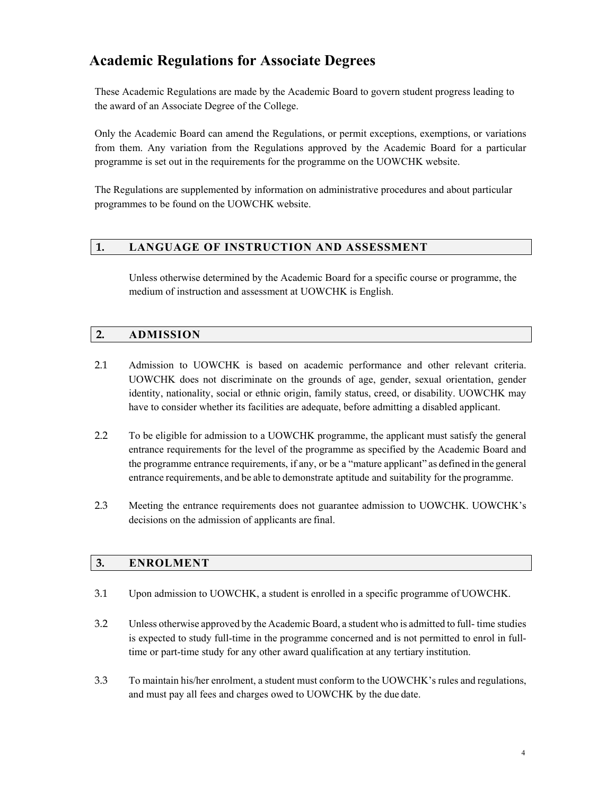# **Academic Regulations for Associate Degrees**

These Academic Regulations are made by the Academic Board to govern student progress leading to the award of an Associate Degree of the College.

Only the Academic Board can amend the Regulations, or permit exceptions, exemptions, or variations from them. Any variation from the Regulations approved by the Academic Board for a particular programme is set out in the requirements for the programme on the UOWCHK website.

The Regulations are supplemented by information on administrative procedures and about particular programmes to be found on the UOWCHK website.

### **1. LANGUAGE OF INSTRUCTION AND ASSESSMENT**

Unless otherwise determined by the Academic Board for a specific course or programme, the medium of instruction and assessment at UOWCHK is English.

### **2. ADMISSION**

- 2.1 Admission to UOWCHK is based on academic performance and other relevant criteria. UOWCHK does not discriminate on the grounds of age, gender, sexual orientation, gender identity, nationality, social or ethnic origin, family status, creed, or disability. UOWCHK may have to consider whether its facilities are adequate, before admitting a disabled applicant.
- 2.2 To be eligible for admission to a UOWCHK programme, the applicant must satisfy the general entrance requirements for the level of the programme as specified by the Academic Board and the programme entrance requirements, if any, or be a "mature applicant" as defined in the general entrance requirements, and be able to demonstrate aptitude and suitability for the programme.
- 2.3 Meeting the entrance requirements does not guarantee admission to UOWCHK. UOWCHK's decisions on the admission of applicants are final.

### **3. ENROLMENT**

- 3.1 Upon admission to UOWCHK, a student is enrolled in a specific programme of UOWCHK.
- 3.2 Unless otherwise approved by the Academic Board, a student who is admitted to full- time studies is expected to study full-time in the programme concerned and is not permitted to enrol in fulltime or part-time study for any other award qualification at any tertiary institution.
- 3.3 To maintain his/her enrolment, a student must conform to the UOWCHK's rules and regulations, and must pay all fees and charges owed to UOWCHK by the due date.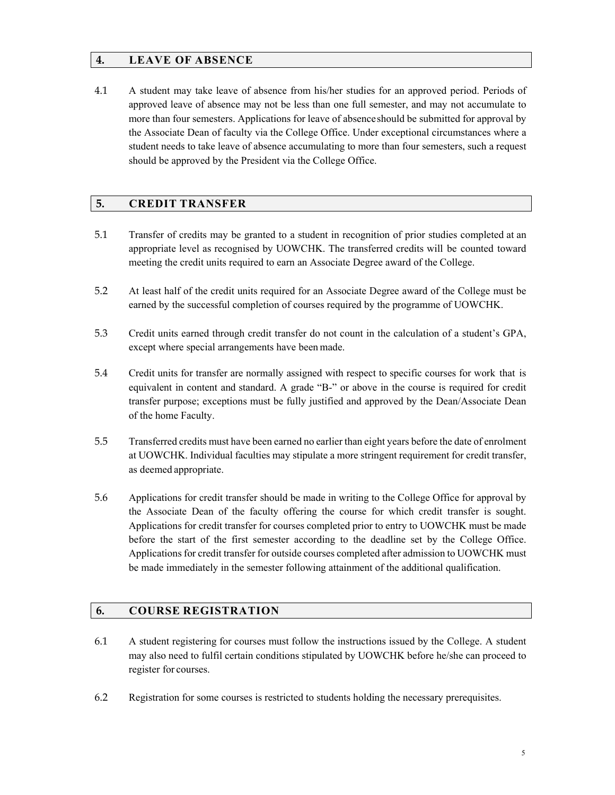### **4. LEAVE OF ABSENCE**

4.1 A student may take leave of absence from his/her studies for an approved period. Periods of approved leave of absence may not be less than one full semester, and may not accumulate to more than four semesters. Applications for leave of absence should be submitted for approval by the Associate Dean of faculty via the College Office. Under exceptional circumstances where a student needs to take leave of absence accumulating to more than four semesters, such a request should be approved by the President via the College Office.

### **5. CREDIT TRANSFER**

- 5.1 Transfer of credits may be granted to a student in recognition of prior studies completed at an appropriate level as recognised by UOWCHK. The transferred credits will be counted toward meeting the credit units required to earn an Associate Degree award of the College.
- 5.2 At least half of the credit units required for an Associate Degree award of the College must be earned by the successful completion of courses required by the programme of UOWCHK.
- 5.3 Credit units earned through credit transfer do not count in the calculation of a student's GPA, except where special arrangements have been made.
- 5.4 Credit units for transfer are normally assigned with respect to specific courses for work that is equivalent in content and standard. A grade "B-" or above in the course is required for credit transfer purpose; exceptions must be fully justified and approved by the Dean/Associate Dean of the home Faculty.
- 5.5 Transferred credits must have been earned no earlier than eight years before the date of enrolment at UOWCHK. Individual faculties may stipulate a more stringent requirement for credit transfer, as deemed appropriate.
- 5.6 Applications for credit transfer should be made in writing to the College Office for approval by the Associate Dean of the faculty offering the course for which credit transfer is sought. Applications for credit transfer for courses completed prior to entry to UOWCHK must be made before the start of the first semester according to the deadline set by the College Office. Applications for credit transfer for outside courses completed after admission to UOWCHK must be made immediately in the semester following attainment of the additional qualification.

### **6. COURSE REGISTRATION**

- 6.1 A student registering for courses must follow the instructions issued by the College. A student may also need to fulfil certain conditions stipulated by UOWCHK before he/she can proceed to register for courses.
- 6.2 Registration for some courses is restricted to students holding the necessary prerequisites.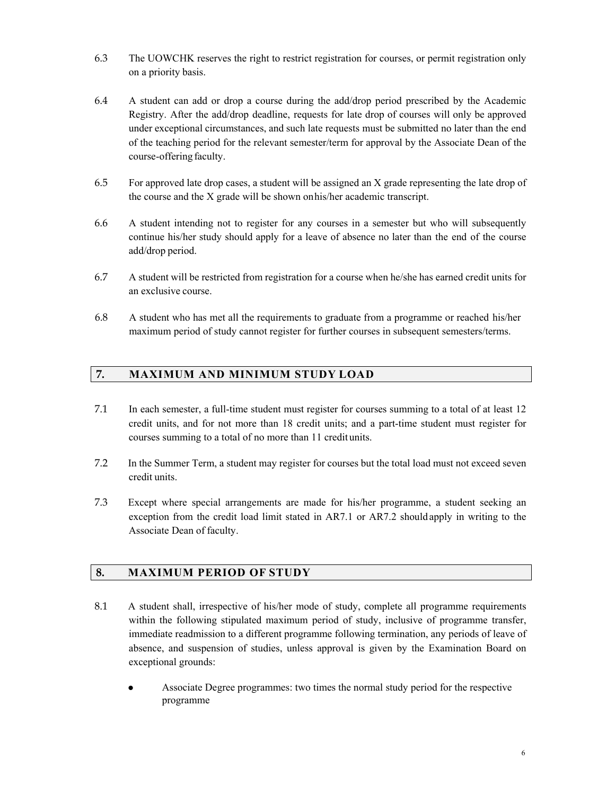- 6.3 The UOWCHK reserves the right to restrict registration for courses, or permit registration only on a priority basis.
- 6.4 A student can add or drop a course during the add/drop period prescribed by the Academic Registry. After the add/drop deadline, requests for late drop of courses will only be approved under exceptional circumstances, and such late requests must be submitted no later than the end of the teaching period for the relevant semester/term for approval by the Associate Dean of the course-offering faculty.
- 6.5 For approved late drop cases, a student will be assigned an X grade representing the late drop of the course and the X grade will be shown on his/her academic transcript.
- 6.6 A student intending not to register for any courses in a semester but who will subsequently continue his/her study should apply for a leave of absence no later than the end of the course add/drop period.
- 6.7 A student will be restricted from registration for a course when he/she has earned credit units for an exclusive course.
- 6.8 A student who has met all the requirements to graduate from a programme or reached his/her maximum period of study cannot register for further courses in subsequent semesters/terms.

### **7. MAXIMUM AND MINIMUM STUDY LOAD**

- 7.1 In each semester, a full-time student must register for courses summing to a total of at least 12 credit units, and for not more than 18 credit units; and a part-time student must register for courses summing to a total of no more than 11 credit units.
- 7.2 In the Summer Term, a student may register for courses but the total load must not exceed seven credit units.
- 7.3 Except where special arrangements are made for his/her programme, a student seeking an exception from the credit load limit stated in AR7.1 or AR7.2 should apply in writing to the Associate Dean of faculty.

#### **8. MAXIMUM PERIOD OF STUDY**

- 8.1 A student shall, irrespective of his/her mode of study, complete all programme requirements within the following stipulated maximum period of study, inclusive of programme transfer, immediate readmission to a different programme following termination, any periods of leave of absence, and suspension of studies, unless approval is given by the Examination Board on exceptional grounds:
	- Associate Degree programmes: two times the normal study period for the respective programme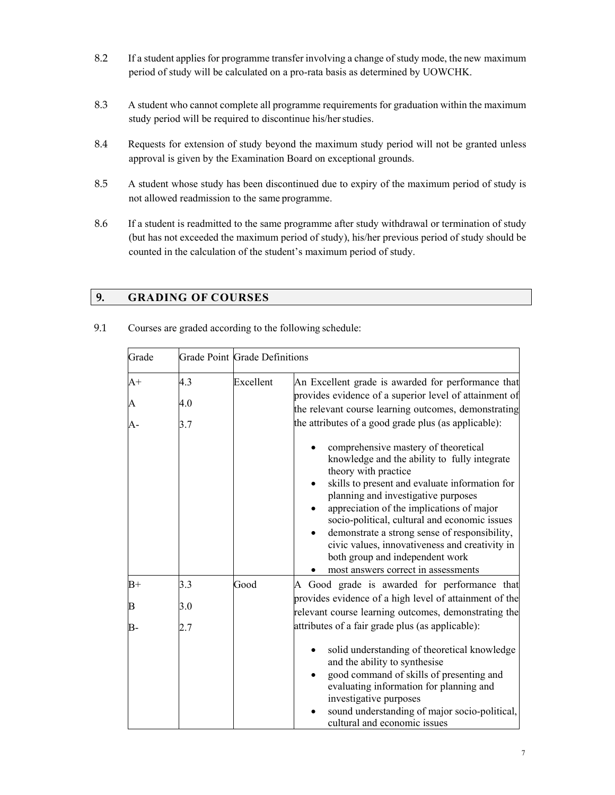- 8.2 If a student applies for programme transfer involving a change of study mode, the new maximum period of study will be calculated on a pro-rata basis as determined by UOWCHK.
- 8.3 A student who cannot complete all programme requirements for graduation within the maximum study period will be required to discontinue his/her studies.
- 8.4 Requests for extension of study beyond the maximum study period will not be granted unless approval is given by the Examination Board on exceptional grounds.
- 8.5 A student whose study has been discontinued due to expiry of the maximum period of study is not allowed readmission to the same programme.
- 8.6 If a student is readmitted to the same programme after study withdrawal or termination of study (but has not exceeded the maximum period of study), his/her previous period of study should be counted in the calculation of the student's maximum period of study.

## **9. GRADING OF COURSES**

| Grade |     | <b>Grade Point Grade Definitions</b> |                                                                                                                                                                                                                                                                                                                                                                                                                                                                                  |  |
|-------|-----|--------------------------------------|----------------------------------------------------------------------------------------------------------------------------------------------------------------------------------------------------------------------------------------------------------------------------------------------------------------------------------------------------------------------------------------------------------------------------------------------------------------------------------|--|
| $A+$  | 4.3 | Excellent                            | An Excellent grade is awarded for performance that                                                                                                                                                                                                                                                                                                                                                                                                                               |  |
| A     | 4.0 |                                      | provides evidence of a superior level of attainment of<br>the relevant course learning outcomes, demonstrating                                                                                                                                                                                                                                                                                                                                                                   |  |
| A-    | 3.7 |                                      | the attributes of a good grade plus (as applicable):                                                                                                                                                                                                                                                                                                                                                                                                                             |  |
|       |     |                                      | comprehensive mastery of theoretical<br>knowledge and the ability to fully integrate<br>theory with practice<br>skills to present and evaluate information for<br>planning and investigative purposes<br>appreciation of the implications of major<br>socio-political, cultural and economic issues<br>demonstrate a strong sense of responsibility,<br>civic values, innovativeness and creativity in<br>both group and independent work<br>most answers correct in assessments |  |
| $B+$  | 3.3 | Good                                 | A Good grade is awarded for performance that                                                                                                                                                                                                                                                                                                                                                                                                                                     |  |
| B     | 3.0 |                                      | provides evidence of a high level of attainment of the<br>relevant course learning outcomes, demonstrating the                                                                                                                                                                                                                                                                                                                                                                   |  |
| В-    | 2.7 |                                      | attributes of a fair grade plus (as applicable):                                                                                                                                                                                                                                                                                                                                                                                                                                 |  |
|       |     |                                      | solid understanding of theoretical knowledge<br>and the ability to synthesise<br>good command of skills of presenting and<br>evaluating information for planning and<br>investigative purposes<br>sound understanding of major socio-political,<br>cultural and economic issues                                                                                                                                                                                                  |  |

9.1 Courses are graded according to the following schedule: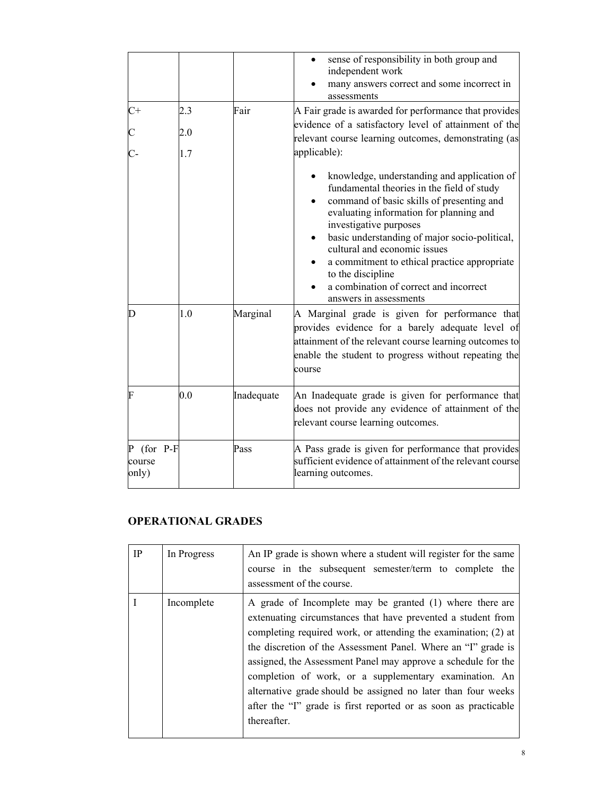|                                 |     |            | sense of responsibility in both group and<br>independent work<br>many answers correct and some incorrect in<br>assessments                                                                                                                                                                                                                                                                                                            |
|---------------------------------|-----|------------|---------------------------------------------------------------------------------------------------------------------------------------------------------------------------------------------------------------------------------------------------------------------------------------------------------------------------------------------------------------------------------------------------------------------------------------|
| $C+$                            | 2.3 | Fair       | A Fair grade is awarded for performance that provides                                                                                                                                                                                                                                                                                                                                                                                 |
|                                 | 2.0 |            | evidence of a satisfactory level of attainment of the<br>relevant course learning outcomes, demonstrating (as                                                                                                                                                                                                                                                                                                                         |
|                                 | 1.7 |            | applicable):                                                                                                                                                                                                                                                                                                                                                                                                                          |
|                                 |     |            | knowledge, understanding and application of<br>fundamental theories in the field of study<br>command of basic skills of presenting and<br>evaluating information for planning and<br>investigative purposes<br>basic understanding of major socio-political,<br>cultural and economic issues<br>a commitment to ethical practice appropriate<br>to the discipline<br>a combination of correct and incorrect<br>answers in assessments |
| D                               | 1.0 | Marginal   | A Marginal grade is given for performance that<br>provides evidence for a barely adequate level of<br>attainment of the relevant course learning outcomes to<br>enable the student to progress without repeating the<br>course                                                                                                                                                                                                        |
| F                               | 0.0 | Inadequate | An Inadequate grade is given for performance that<br>does not provide any evidence of attainment of the<br>relevant course learning outcomes.                                                                                                                                                                                                                                                                                         |
| $P$ (for P-F<br>course<br>only) |     | Pass       | A Pass grade is given for performance that provides<br>sufficient evidence of attainment of the relevant course<br>learning outcomes.                                                                                                                                                                                                                                                                                                 |

# **OPERATIONAL GRADES**

| <b>IP</b>  | In Progress | An IP grade is shown where a student will register for the same<br>course in the subsequent semester/term to complete the<br>assessment of the course.                                                                                                                                                                                                                                                                                                                                                                                    |
|------------|-------------|-------------------------------------------------------------------------------------------------------------------------------------------------------------------------------------------------------------------------------------------------------------------------------------------------------------------------------------------------------------------------------------------------------------------------------------------------------------------------------------------------------------------------------------------|
| Incomplete |             | A grade of Incomplete may be granted (1) where there are<br>extenuating circumstances that have prevented a student from<br>completing required work, or attending the examination; (2) at<br>the discretion of the Assessment Panel. Where an "I" grade is<br>assigned, the Assessment Panel may approve a schedule for the<br>completion of work, or a supplementary examination. An<br>alternative grade should be assigned no later than four weeks<br>after the "I" grade is first reported or as soon as practicable<br>thereafter. |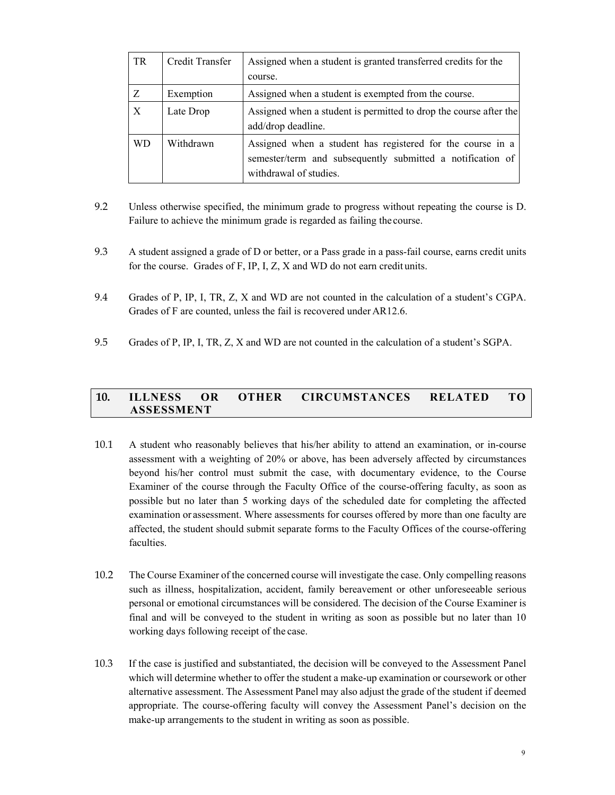| TR | Credit Transfer | Assigned when a student is granted transferred credits for the                                                                                     |  |  |
|----|-----------------|----------------------------------------------------------------------------------------------------------------------------------------------------|--|--|
|    |                 | course.                                                                                                                                            |  |  |
| Z  | Exemption       | Assigned when a student is exempted from the course.                                                                                               |  |  |
| X  | Late Drop       | Assigned when a student is permitted to drop the course after the<br>add/drop deadline.                                                            |  |  |
| WD | Withdrawn       | Assigned when a student has registered for the course in a<br>semester/term and subsequently submitted a notification of<br>withdrawal of studies. |  |  |

- 9.2 Unless otherwise specified, the minimum grade to progress without repeating the course is D. Failure to achieve the minimum grade is regarded as failing the course.
- 9.3 A student assigned a grade of D or better, or a Pass grade in a pass-fail course, earns credit units for the course. Grades of F, IP, I, Z, X and WD do not earn credit units.
- 9.4 Grades of P, IP, I, TR, Z, X and WD are not counted in the calculation of a student's CGPA. Grades of F are counted, unless the fail is recovered under AR12.6.
- 9.5 Grades of P, IP, I, TR, Z, X and WD are not counted in the calculation of a student's SGPA.

### **10. ILLNESS OR OTHER CIRCUMSTANCES RELATED TO ASSESSMENT**

- 10.1 A student who reasonably believes that his/her ability to attend an examination, or in-course assessment with a weighting of 20% or above, has been adversely affected by circumstances beyond his/her control must submit the case, with documentary evidence, to the Course Examiner of the course through the Faculty Office of the course-offering faculty, as soon as possible but no later than 5 working days of the scheduled date for completing the affected examination or assessment. Where assessments for courses offered by more than one faculty are affected, the student should submit separate forms to the Faculty Offices of the course-offering faculties.
- 10.2 The Course Examiner of the concerned course will investigate the case. Only compelling reasons such as illness, hospitalization, accident, family bereavement or other unforeseeable serious personal or emotional circumstances will be considered. The decision of the Course Examiner is final and will be conveyed to the student in writing as soon as possible but no later than 10 working days following receipt of the case.
- 10.3 If the case is justified and substantiated, the decision will be conveyed to the Assessment Panel which will determine whether to offer the student a make-up examination or coursework or other alternative assessment. The Assessment Panel may also adjust the grade of the student if deemed appropriate. The course-offering faculty will convey the Assessment Panel's decision on the make-up arrangements to the student in writing as soon as possible.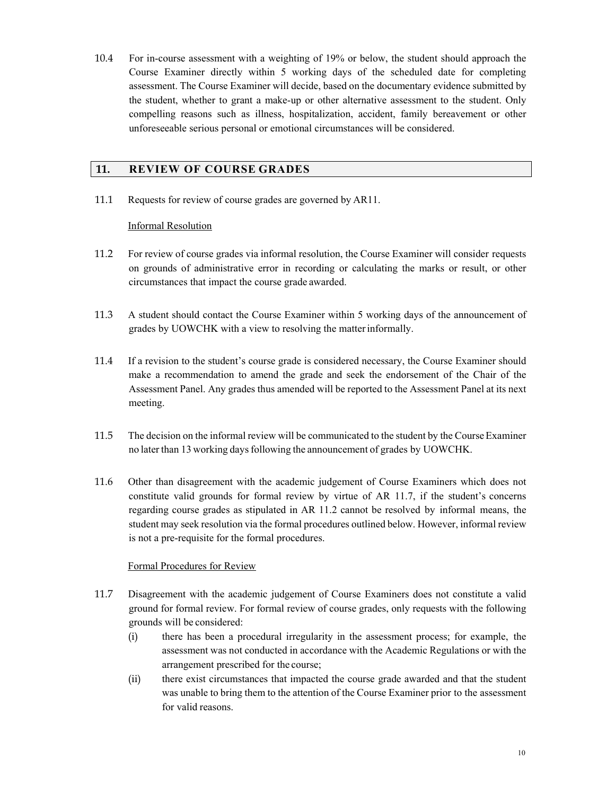10.4 For in-course assessment with a weighting of 19% or below, the student should approach the Course Examiner directly within 5 working days of the scheduled date for completing assessment. The Course Examiner will decide, based on the documentary evidence submitted by the student, whether to grant a make-up or other alternative assessment to the student. Only compelling reasons such as illness, hospitalization, accident, family bereavement or other unforeseeable serious personal or emotional circumstances will be considered.

### **11. REVIEW OF COURSE GRADES**

11.1 Requests for review of course grades are governed by AR11.

#### Informal Resolution

- 11.2 For review of course grades via informal resolution, the Course Examiner will consider requests on grounds of administrative error in recording or calculating the marks or result, or other circumstances that impact the course grade awarded.
- 11.3 A student should contact the Course Examiner within 5 working days of the announcement of grades by UOWCHK with a view to resolving the matter informally.
- 11.4 If a revision to the student's course grade is considered necessary, the Course Examiner should make a recommendation to amend the grade and seek the endorsement of the Chair of the Assessment Panel. Any grades thus amended will be reported to the Assessment Panel at its next meeting.
- 11.5 The decision on the informal review will be communicated to the student by the Course Examiner no later than 13 working days following the announcement of grades by UOWCHK.
- 11.6 Other than disagreement with the academic judgement of Course Examiners which does not constitute valid grounds for formal review by virtue of AR 11.7, if the student's concerns regarding course grades as stipulated in AR 11.2 cannot be resolved by informal means, the student may seek resolution via the formal procedures outlined below. However, informal review is not a pre-requisite for the formal procedures.

#### Formal Procedures for Review

- 11.7 Disagreement with the academic judgement of Course Examiners does not constitute a valid ground for formal review. For formal review of course grades, only requests with the following grounds will be considered:
	- (i) there has been a procedural irregularity in the assessment process; for example, the assessment was not conducted in accordance with the Academic Regulations or with the arrangement prescribed for the course;
	- (ii) there exist circumstances that impacted the course grade awarded and that the student was unable to bring them to the attention of the Course Examiner prior to the assessment for valid reasons.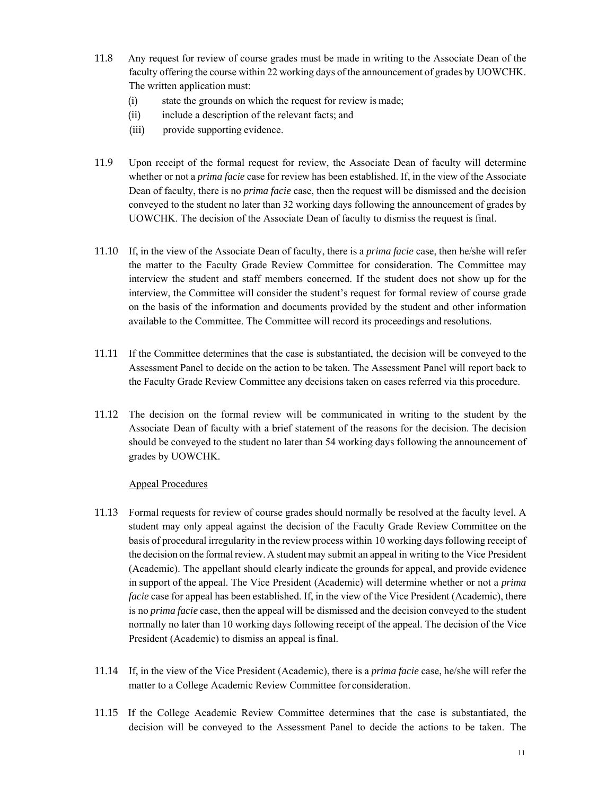- 11.8 Any request for review of course grades must be made in writing to the Associate Dean of the faculty offering the course within 22 working days of the announcement of grades by UOWCHK. The written application must:
	- (i) state the grounds on which the request for review is made;
	- (ii) include a description of the relevant facts; and
	- (iii) provide supporting evidence.
- 11.9 Upon receipt of the formal request for review, the Associate Dean of faculty will determine whether or not a *prima facie* case for review has been established. If, in the view of the Associate Dean of faculty, there is no *prima facie* case, then the request will be dismissed and the decision conveyed to the student no later than 32 working days following the announcement of grades by UOWCHK. The decision of the Associate Dean of faculty to dismiss the request is final.
- 11.10 If, in the view of the Associate Dean of faculty, there is a *prima facie* case, then he/she will refer the matter to the Faculty Grade Review Committee for consideration. The Committee may interview the student and staff members concerned. If the student does not show up for the interview, the Committee will consider the student's request for formal review of course grade on the basis of the information and documents provided by the student and other information available to the Committee. The Committee will record its proceedings and resolutions.
- 11.11 If the Committee determines that the case is substantiated, the decision will be conveyed to the Assessment Panel to decide on the action to be taken. The Assessment Panel will report back to the Faculty Grade Review Committee any decisions taken on cases referred via this procedure.
- 11.12 The decision on the formal review will be communicated in writing to the student by the Associate Dean of faculty with a brief statement of the reasons for the decision. The decision should be conveyed to the student no later than 54 working days following the announcement of grades by UOWCHK.

#### Appeal Procedures

- 11.13 Formal requests for review of course grades should normally be resolved at the faculty level. A student may only appeal against the decision of the Faculty Grade Review Committee on the basis of procedural irregularity in the review process within 10 working days following receipt of the decision on the formal review. A student may submit an appeal in writing to the Vice President (Academic). The appellant should clearly indicate the grounds for appeal, and provide evidence in support of the appeal. The Vice President (Academic) will determine whether or not a *prima facie* case for appeal has been established. If, in the view of the Vice President (Academic), there is no *prima facie* case, then the appeal will be dismissed and the decision conveyed to the student normally no later than 10 working days following receipt of the appeal. The decision of the Vice President (Academic) to dismiss an appeal is final.
- 11.14 If, in the view of the Vice President (Academic), there is a *prima facie* case, he/she will refer the matter to a College Academic Review Committee for consideration.
- 11.15 If the College Academic Review Committee determines that the case is substantiated, the decision will be conveyed to the Assessment Panel to decide the actions to be taken. The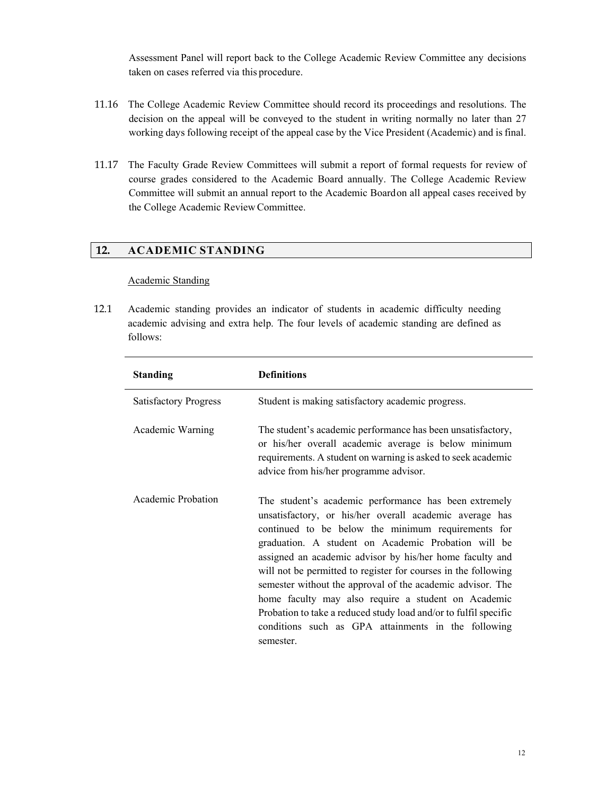Assessment Panel will report back to the College Academic Review Committee any decisions taken on cases referred via this procedure.

- 11.16 The College Academic Review Committee should record its proceedings and resolutions. The decision on the appeal will be conveyed to the student in writing normally no later than 27 working days following receipt of the appeal case by the Vice President (Academic) and is final.
- 11.17 The Faculty Grade Review Committees will submit a report of formal requests for review of course grades considered to the Academic Board annually. The College Academic Review Committee will submit an annual report to the Academic Board on all appeal cases received by the College Academic Review Committee.

## **12. ACADEMIC STANDING**

#### Academic Standing

12.1 Academic standing provides an indicator of students in academic difficulty needing academic advising and extra help. The four levels of academic standing are defined as follows:

| <b>Standing</b>              | <b>Definitions</b>                                                                                                                                                                                                                                                                                                                                                                                                                                                                                                                                                                                                       |
|------------------------------|--------------------------------------------------------------------------------------------------------------------------------------------------------------------------------------------------------------------------------------------------------------------------------------------------------------------------------------------------------------------------------------------------------------------------------------------------------------------------------------------------------------------------------------------------------------------------------------------------------------------------|
| <b>Satisfactory Progress</b> | Student is making satisfactory academic progress.                                                                                                                                                                                                                                                                                                                                                                                                                                                                                                                                                                        |
| Academic Warning             | The student's academic performance has been unsatisfactory,<br>or his/her overall academic average is below minimum<br>requirements. A student on warning is asked to seek academic<br>advice from his/her programme advisor.                                                                                                                                                                                                                                                                                                                                                                                            |
| Academic Probation           | The student's academic performance has been extremely<br>unsatisfactory, or his/her overall academic average has<br>continued to be below the minimum requirements for<br>graduation. A student on Academic Probation will be<br>assigned an academic advisor by his/her home faculty and<br>will not be permitted to register for courses in the following<br>semester without the approval of the academic advisor. The<br>home faculty may also require a student on Academic<br>Probation to take a reduced study load and/or to fulfil specific<br>conditions such as GPA attainments in the following<br>semester. |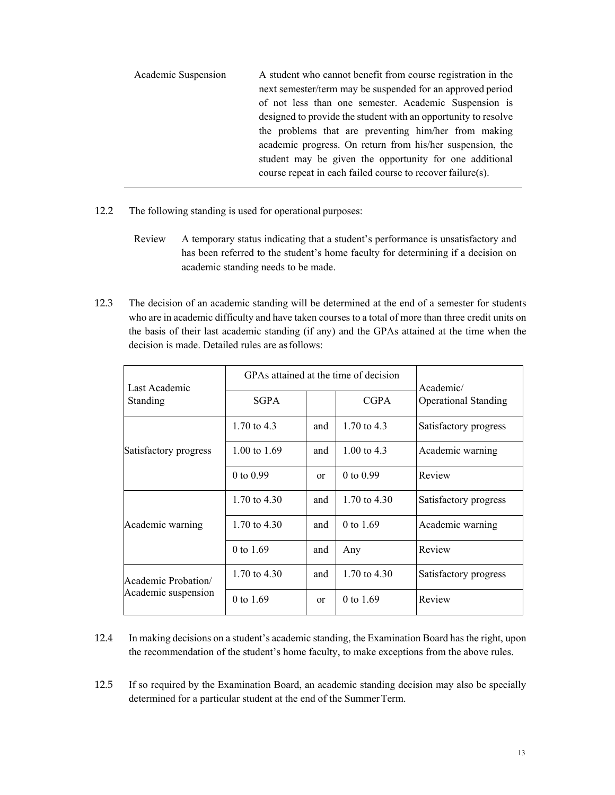| Academic Suspension | A student who cannot benefit from course registration in the   |
|---------------------|----------------------------------------------------------------|
|                     | next semester/term may be suspended for an approved period     |
|                     | of not less than one semester. Academic Suspension is          |
|                     | designed to provide the student with an opportunity to resolve |
|                     | the problems that are preventing him/her from making           |
|                     | academic progress. On return from his/her suspension, the      |
|                     | student may be given the opportunity for one additional        |
|                     | course repeat in each failed course to recover failure(s).     |
|                     |                                                                |

- 12.2 The following standing is used for operational purposes:
	- Review A temporary status indicating that a student's performance is unsatisfactory and has been referred to the student's home faculty for determining if a decision on academic standing needs to be made.
- 12.3 The decision of an academic standing will be determined at the end of a semester for students who are in academic difficulty and have taken courses to a total of more than three credit units on the basis of their last academic standing (if any) and the GPAs attained at the time when the decision is made. Detailed rules are as follows:

| Last Academic         | GPAs attained at the time of decision |     |                | Academic/                   |
|-----------------------|---------------------------------------|-----|----------------|-----------------------------|
| Standing              | <b>SGPA</b>                           |     | <b>CGPA</b>    | <b>Operational Standing</b> |
|                       | 1.70 to $4.3$                         | and | 1.70 to $4.3$  | Satisfactory progress       |
| Satisfactory progress | $1.00 \text{ to } 1.69$               | and | 1.00 to $4.3$  | Academic warning            |
|                       | $0$ to $0.99$                         | or  | $0$ to $0.99$  | Review                      |
|                       | 1.70 to $4.30$                        | and | 1.70 to $4.30$ | Satisfactory progress       |
| Academic warning      | 1.70 to $4.30$                        | and | 0 to 1.69      | Academic warning            |
|                       | 0 to $1.69$                           | and | Any            | Review                      |
| Academic Probation/   | 1.70 to $4.30$                        | and | 1.70 to $4.30$ | Satisfactory progress       |
| Academic suspension   | 0 to 1.69                             | or  | 0 to 1.69      | Review                      |

- 12.4 In making decisions on a student's academic standing, the Examination Board has the right, upon the recommendation of the student's home faculty, to make exceptions from the above rules.
- 12.5 If so required by the Examination Board, an academic standing decision may also be specially determined for a particular student at the end of the Summer Term.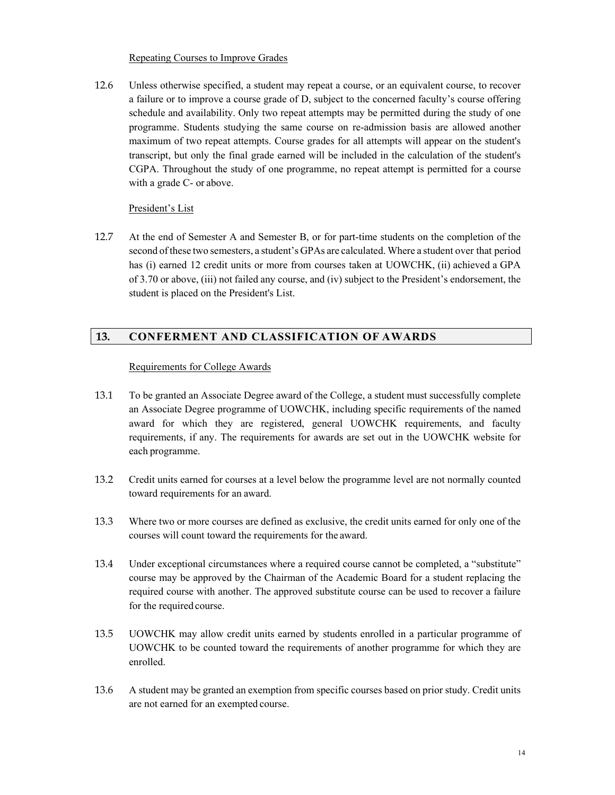#### Repeating Courses to Improve Grades

12.6 Unless otherwise specified, a student may repeat a course, or an equivalent course, to recover a failure or to improve a course grade of D, subject to the concerned faculty's course offering schedule and availability. Only two repeat attempts may be permitted during the study of one programme. Students studying the same course on re-admission basis are allowed another maximum of two repeat attempts. Course grades for all attempts will appear on the student's transcript, but only the final grade earned will be included in the calculation of the student's CGPA. Throughout the study of one programme, no repeat attempt is permitted for a course with a grade C- or above.

#### President's List

12.7 At the end of Semester A and Semester B, or for part-time students on the completion of the second of these two semesters, a student's GPAs are calculated. Where a student over that period has (i) earned 12 credit units or more from courses taken at UOWCHK, (ii) achieved a GPA of 3.70 or above, (iii) not failed any course, and (iv) subject to the President's endorsement, the student is placed on the President's List.

### **13. CONFERMENT AND CLASSIFICATION OF AWARDS**

#### Requirements for College Awards

- 13.1 To be granted an Associate Degree award of the College, a student must successfully complete an Associate Degree programme of UOWCHK, including specific requirements of the named award for which they are registered, general UOWCHK requirements, and faculty requirements, if any. The requirements for awards are set out in the UOWCHK website for each programme.
- 13.2 Credit units earned for courses at a level below the programme level are not normally counted toward requirements for an award.
- 13.3 Where two or more courses are defined as exclusive, the credit units earned for only one of the courses will count toward the requirements for the award.
- 13.4 Under exceptional circumstances where a required course cannot be completed, a "substitute" course may be approved by the Chairman of the Academic Board for a student replacing the required course with another. The approved substitute course can be used to recover a failure for the required course.
- 13.5 UOWCHK may allow credit units earned by students enrolled in a particular programme of UOWCHK to be counted toward the requirements of another programme for which they are enrolled.
- 13.6 A student may be granted an exemption from specific courses based on prior study. Credit units are not earned for an exempted course.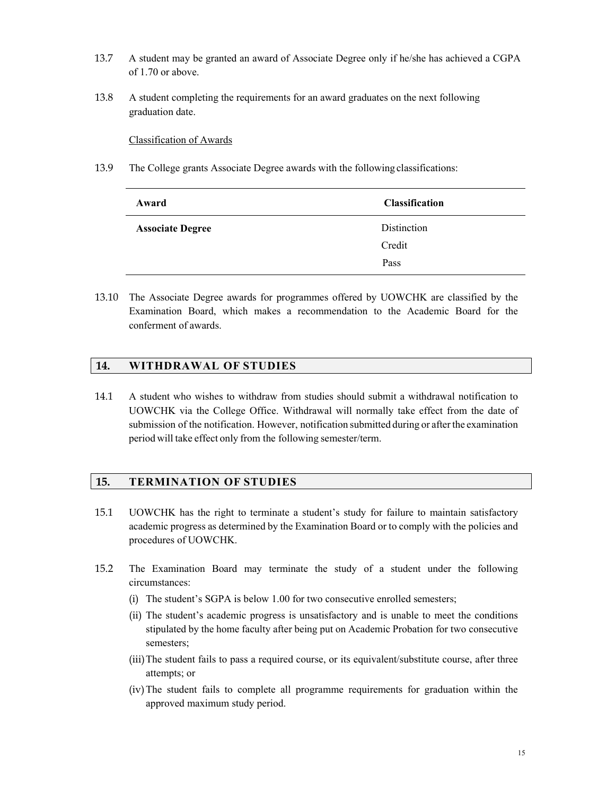- 13.7 A student may be granted an award of Associate Degree only if he/she has achieved a CGPA of 1.70 or above.
- 13.8 A student completing the requirements for an award graduates on the next following graduation date.

Classification of Awards

13.9 The College grants Associate Degree awards with the following classifications:

| Award                   | <b>Classification</b> |
|-------------------------|-----------------------|
| <b>Associate Degree</b> | <b>Distinction</b>    |
|                         | Credit                |
|                         | Pass                  |

13.10 The Associate Degree awards for programmes offered by UOWCHK are classified by the Examination Board, which makes a recommendation to the Academic Board for the conferment of awards.

#### **14. WITHDRAWAL OF STUDIES**

14.1 A student who wishes to withdraw from studies should submit a withdrawal notification to UOWCHK via the College Office. Withdrawal will normally take effect from the date of submission of the notification. However, notification submitted during or after the examination period will take effect only from the following semester/term.

### **15. TERMINATION OF STUDIES**

- 15.1 UOWCHK has the right to terminate a student's study for failure to maintain satisfactory academic progress as determined by the Examination Board or to comply with the policies and procedures of UOWCHK.
- 15.2 The Examination Board may terminate the study of a student under the following circumstances:
	- (i) The student's SGPA is below 1.00 for two consecutive enrolled semesters;
	- (ii) The student's academic progress is unsatisfactory and is unable to meet the conditions stipulated by the home faculty after being put on Academic Probation for two consecutive semesters;
	- (iii)The student fails to pass a required course, or its equivalent/substitute course, after three attempts; or
	- (iv)The student fails to complete all programme requirements for graduation within the approved maximum study period.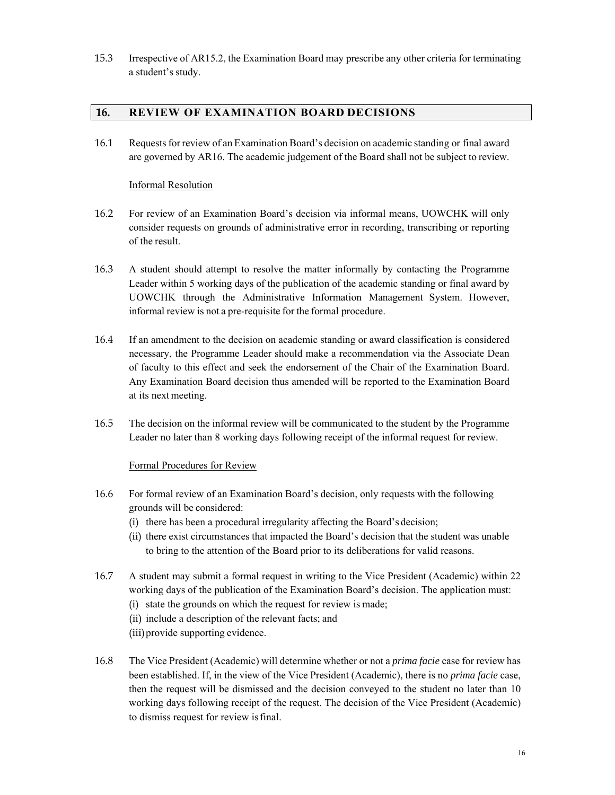15.3 Irrespective of AR15.2, the Examination Board may prescribe any other criteria for terminating a student's study.

### **16. REVIEW OF EXAMINATION BOARD DECISIONS**

16.1 Requests for review of an Examination Board's decision on academic standing or final award are governed by AR16. The academic judgement of the Board shall not be subject to review.

#### Informal Resolution

- 16.2 For review of an Examination Board's decision via informal means, UOWCHK will only consider requests on grounds of administrative error in recording, transcribing or reporting of the result.
- 16.3 A student should attempt to resolve the matter informally by contacting the Programme Leader within 5 working days of the publication of the academic standing or final award by UOWCHK through the Administrative Information Management System. However, informal review is not a pre-requisite for the formal procedure.
- 16.4 If an amendment to the decision on academic standing or award classification is considered necessary, the Programme Leader should make a recommendation via the Associate Dean of faculty to this effect and seek the endorsement of the Chair of the Examination Board. Any Examination Board decision thus amended will be reported to the Examination Board at its next meeting.
- 16.5 The decision on the informal review will be communicated to the student by the Programme Leader no later than 8 working days following receipt of the informal request for review.

#### Formal Procedures for Review

- 16.6 For formal review of an Examination Board's decision, only requests with the following grounds will be considered:
	- (i) there has been a procedural irregularity affecting the Board's decision;
	- (ii) there exist circumstances that impacted the Board's decision that the student was unable to bring to the attention of the Board prior to its deliberations for valid reasons.
- 16.7 A student may submit a formal request in writing to the Vice President (Academic) within 22 working days of the publication of the Examination Board's decision. The application must:
	- (i) state the grounds on which the request for review is made;
	- (ii) include a description of the relevant facts; and
	- (iii)provide supporting evidence.
- 16.8 The Vice President (Academic) will determine whether or not a *prima facie* case for review has been established. If, in the view of the Vice President (Academic), there is no *prima facie* case, then the request will be dismissed and the decision conveyed to the student no later than 10 working days following receipt of the request. The decision of the Vice President (Academic) to dismiss request for review is final.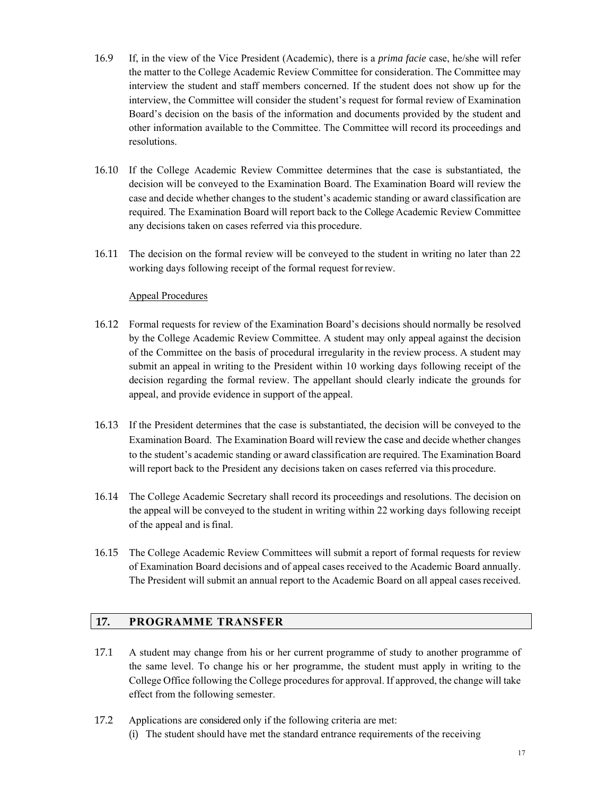- 16.9 If, in the view of the Vice President (Academic), there is a *prima facie* case, he/she will refer the matter to the College Academic Review Committee for consideration. The Committee may interview the student and staff members concerned. If the student does not show up for the interview, the Committee will consider the student's request for formal review of Examination Board's decision on the basis of the information and documents provided by the student and other information available to the Committee. The Committee will record its proceedings and resolutions.
- 16.10 If the College Academic Review Committee determines that the case is substantiated, the decision will be conveyed to the Examination Board. The Examination Board will review the case and decide whether changes to the student's academic standing or award classification are required. The Examination Board will report back to the College Academic Review Committee any decisions taken on cases referred via this procedure.
- 16.11 The decision on the formal review will be conveyed to the student in writing no later than 22 working days following receipt of the formal request for review.

#### Appeal Procedures

- 16.12 Formal requests for review of the Examination Board's decisions should normally be resolved by the College Academic Review Committee. A student may only appeal against the decision of the Committee on the basis of procedural irregularity in the review process. A student may submit an appeal in writing to the President within 10 working days following receipt of the decision regarding the formal review. The appellant should clearly indicate the grounds for appeal, and provide evidence in support of the appeal.
- 16.13 If the President determines that the case is substantiated, the decision will be conveyed to the Examination Board. The Examination Board will review the case and decide whether changes to the student's academic standing or award classification are required. The Examination Board will report back to the President any decisions taken on cases referred via this procedure.
- 16.14 The College Academic Secretary shall record its proceedings and resolutions. The decision on the appeal will be conveyed to the student in writing within 22 working days following receipt of the appeal and is final.
- 16.15 The College Academic Review Committees will submit a report of formal requests for review of Examination Board decisions and of appeal cases received to the Academic Board annually. The President will submit an annual report to the Academic Board on all appeal cases received.

### **17. PROGRAMME TRANSFER**

- 17.1 A student may change from his or her current programme of study to another programme of the same level. To change his or her programme, the student must apply in writing to the College Office following the College procedures for approval. If approved, the change will take effect from the following semester.
- 17.2 Applications are considered only if the following criteria are met:
	- (i) The student should have met the standard entrance requirements of the receiving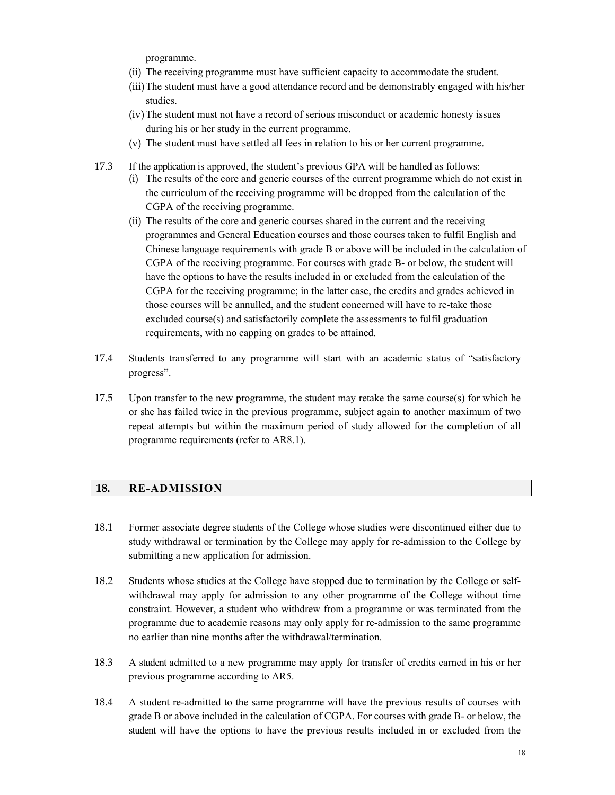programme.

- (ii) The receiving programme must have sufficient capacity to accommodate the student.
- (iii)The student must have a good attendance record and be demonstrably engaged with his/her studies.
- (iv)The student must not have a record of serious misconduct or academic honesty issues during his or her study in the current programme.
- (v) The student must have settled all fees in relation to his or her current programme.
- 17.3 If the application is approved, the student's previous GPA will be handled as follows:
	- (i) The results of the core and generic courses of the current programme which do not exist in the curriculum of the receiving programme will be dropped from the calculation of the CGPA of the receiving programme.
	- (ii) The results of the core and generic courses shared in the current and the receiving programmes and General Education courses and those courses taken to fulfil English and Chinese language requirements with grade B or above will be included in the calculation of CGPA of the receiving programme. For courses with grade B- or below, the student will have the options to have the results included in or excluded from the calculation of the CGPA for the receiving programme; in the latter case, the credits and grades achieved in those courses will be annulled, and the student concerned will have to re-take those excluded course(s) and satisfactorily complete the assessments to fulfil graduation requirements, with no capping on grades to be attained.
- 17.4 Students transferred to any programme will start with an academic status of "satisfactory progress".
- 17.5 Upon transfer to the new programme, the student may retake the same course(s) for which he or she has failed twice in the previous programme, subject again to another maximum of two repeat attempts but within the maximum period of study allowed for the completion of all programme requirements (refer to AR8.1).

#### **18. RE-ADMISSION**

- 18.1 Former associate degree students of the College whose studies were discontinued either due to study withdrawal or termination by the College may apply for re-admission to the College by submitting a new application for admission.
- 18.2 Students whose studies at the College have stopped due to termination by the College or selfwithdrawal may apply for admission to any other programme of the College without time constraint. However, a student who withdrew from a programme or was terminated from the programme due to academic reasons may only apply for re-admission to the same programme no earlier than nine months after the withdrawal/termination.
- 18.3 A student admitted to a new programme may apply for transfer of credits earned in his or her previous programme according to AR5.
- 18.4 A student re-admitted to the same programme will have the previous results of courses with grade B or above included in the calculation of CGPA. For courses with grade B- or below, the student will have the options to have the previous results included in or excluded from the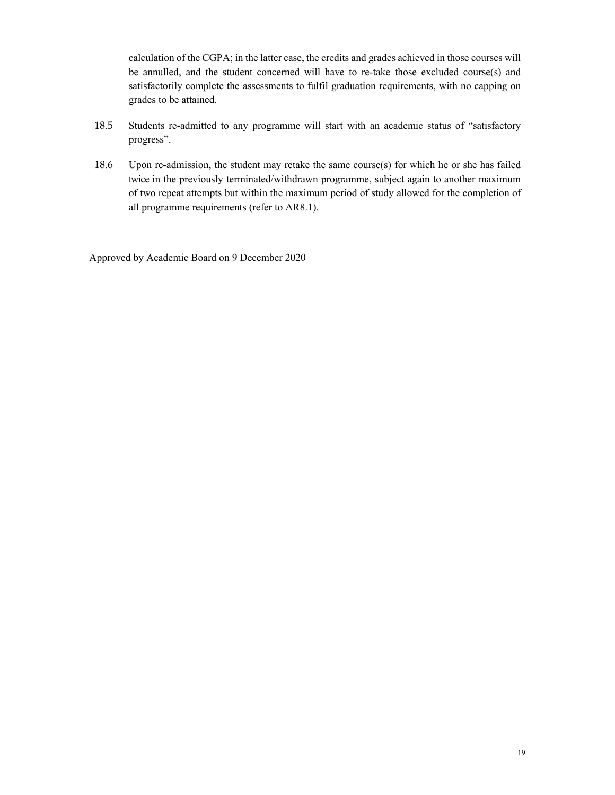calculation of the CGPA; in the latter case, the credits and grades achieved in those courses will be annulled, and the student concerned will have to re-take those excluded course(s) and satisfactorily complete the assessments to fulfil graduation requirements, with no capping on grades to be attained.

- 18.5 Students re-admitted to any programme will start with an academic status of "satisfactory progress".
- 18.6 Upon re-admission, the student may retake the same course(s) for which he or she has failed twice in the previously terminated/withdrawn programme, subject again to another maximum of two repeat attempts but within the maximum period of study allowed for the completion of all programme requirements (refer to AR8.1).

Approved by Academic Board on 9 December 2020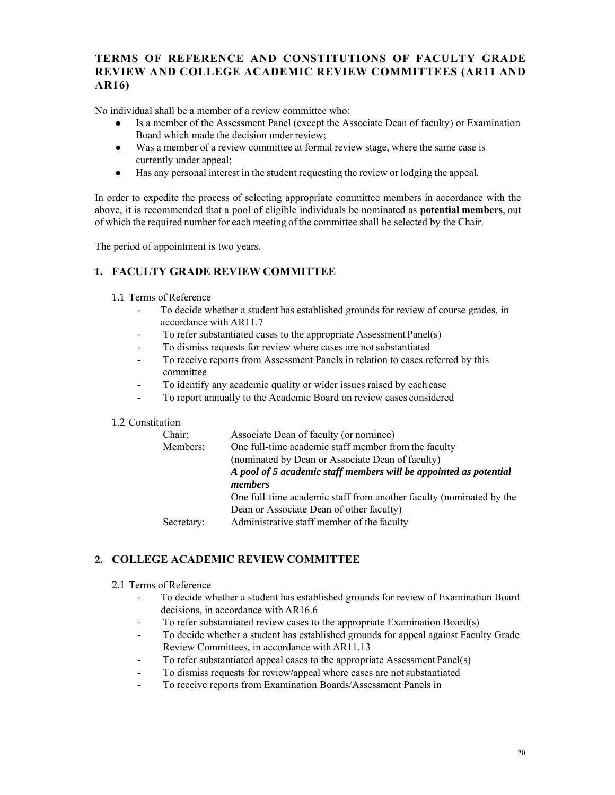## **TERMS OF REFERENCE AND CONSTITUTIONS OF FACULTY GRADE REVIEW AND COLLEGE ACADEMIC REVIEW COMMITTEES (AR11 AND AR16)**

No individual shall be a member of a review committee who:

- Is a member of the Assessment Panel (except the Associate Dean of faculty) or Examination Board which made the decision under review;
- Was a member of a review committee at formal review stage, where the same case is currently under appeal;
- Has any personal interest in the student requesting the review or lodging the appeal.

In order to expedite the process of selecting appropriate committee members in accordance with the above, it is recommended that a pool of eligible individuals be nominated as **potential members**, out of which the required number for each meeting of the committee shall be selected by the Chair.

The period of appointment is two years.

### **1. FACULTY GRADE REVIEW COMMITTEE**

#### 1.1 Terms of Reference

- To decide whether a student has established grounds for review of course grades, in accordance with AR11.7
- To refer substantiated cases to the appropriate Assessment Panel(s)
- To dismiss requests for review where cases are not substantiated
- To receive reports from Assessment Panels in relation to cases referred by this committee
- To identify any academic quality or wider issues raised by each case
- To report annually to the Academic Board on review cases considered

#### 1.2 Constitution

| Chair:     | Associate Dean of faculty (or nominee)                              |  |  |
|------------|---------------------------------------------------------------------|--|--|
| Members:   | One full-time academic staff member from the faculty                |  |  |
|            | (nominated by Dean or Associate Dean of faculty)                    |  |  |
|            | A pool of 5 academic staff members will be appointed as potential   |  |  |
|            | members                                                             |  |  |
|            | One full-time academic staff from another faculty (nominated by the |  |  |
|            | Dean or Associate Dean of other faculty)                            |  |  |
| Secretary: | Administrative staff member of the faculty                          |  |  |
|            |                                                                     |  |  |

### **2. COLLEGE ACADEMIC REVIEW COMMITTEE**

- 2.1 Terms of Reference
	- To decide whether a student has established grounds for review of Examination Board decisions, in accordance with AR16.6
	- To refer substantiated review cases to the appropriate Examination Board(s)
	- To decide whether a student has established grounds for appeal against Faculty Grade Review Committees, in accordance with AR11.13
	- To refer substantiated appeal cases to the appropriate Assessment Panel(s)
	- To dismiss requests for review/appeal where cases are not substantiated
	- To receive reports from Examination Boards/Assessment Panels in